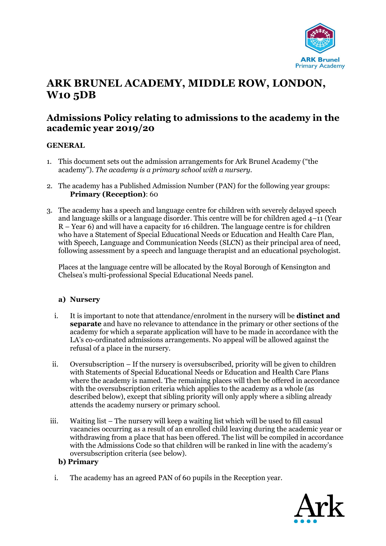

# **ARK BRUNEL ACADEMY, MIDDLE ROW, LONDON, W10 5DB**

# **Admissions Policy relating to admissions to the academy in the academic year 2019/20**

# **GENERAL**

- 1. This document sets out the admission arrangements for Ark Brunel Academy ("the academy"). *The academy is a primary school with a nursery.*
- 2. The academy has a Published Admission Number (PAN) for the following year groups: **Primary (Reception)**: 60
- 3. The academy has a speech and language centre for children with severely delayed speech and language skills or a language disorder. This centre will be for children aged 4–11 (Year R – Year 6) and will have a capacity for 16 children. The language centre is for children who have a Statement of Special Educational Needs or Education and Health Care Plan, with Speech, Language and Communication Needs (SLCN) as their principal area of need, following assessment by a speech and language therapist and an educational psychologist.

Places at the language centre will be allocated by the Royal Borough of Kensington and Chelsea's multi-professional Special Educational Needs panel.

#### **a) Nursery**

- i. It is important to note that attendance/enrolment in the nursery will be **distinct and separate** and have no relevance to attendance in the primary or other sections of the academy for which a separate application will have to be made in accordance with the LA's co-ordinated admissions arrangements. No appeal will be allowed against the refusal of a place in the nursery.
- ii. Oversubscription If the nursery is oversubscribed, priority will be given to children with Statements of Special Educational Needs or Education and Health Care Plans where the academy is named. The remaining places will then be offered in accordance with the oversubscription criteria which applies to the academy as a whole (as described below), except that sibling priority will only apply where a sibling already attends the academy nursery or primary school.
- iii. Waiting list The nursery will keep a waiting list which will be used to fill casual vacancies occurring as a result of an enrolled child leaving during the academic year or withdrawing from a place that has been offered. The list will be compiled in accordance with the Admissions Code so that children will be ranked in line with the academy's oversubscription criteria (see below).

#### **b) Primary**

i. The academy has an agreed PAN of 60 pupils in the Reception year.

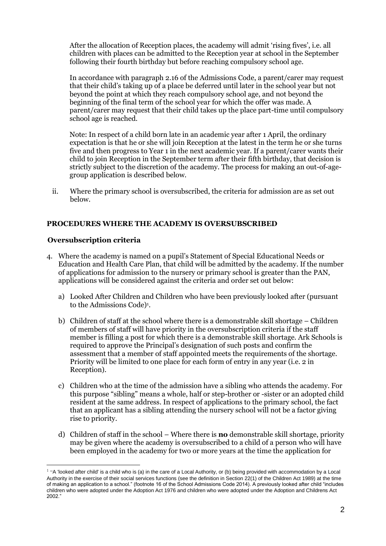After the allocation of Reception places, the academy will admit 'rising fives', i.e. all children with places can be admitted to the Reception year at school in the September following their fourth birthday but before reaching compulsory school age.

In accordance with paragraph 2.16 of the Admissions Code, a parent/carer may request that their child's taking up of a place be deferred until later in the school year but not beyond the point at which they reach compulsory school age, and not beyond the beginning of the final term of the school year for which the offer was made. A parent/carer may request that their child takes up the place part-time until compulsory school age is reached.

Note: In respect of a child born late in an academic year after 1 April, the ordinary expectation is that he or she will join Reception at the latest in the term he or she turns five and then progress to Year 1 in the next academic year. If a parent/carer wants their child to join Reception in the September term after their fifth birthday, that decision is strictly subject to the discretion of the academy. The process for making an out-of-agegroup application is described below.

ii. Where the primary school is oversubscribed, the criteria for admission are as set out below.

# **PROCEDURES WHERE THE ACADEMY IS OVERSUBSCRIBED**

#### **Oversubscription criteria**

 $\overline{a}$ 

- 4. Where the academy is named on a pupil's Statement of Special Educational Needs or Education and Health Care Plan, that child will be admitted by the academy. If the number of applications for admission to the nursery or primary school is greater than the PAN, applications will be considered against the criteria and order set out below:
	- a) Looked After Children and Children who have been previously looked after (pursuant to the Admissions Code)<sup>1</sup>.
	- b) Children of staff at the school where there is a demonstrable skill shortage Children of members of staff will have priority in the oversubscription criteria if the staff member is filling a post for which there is a demonstrable skill shortage. Ark Schools is required to approve the Principal's designation of such posts and confirm the assessment that a member of staff appointed meets the requirements of the shortage. Priority will be limited to one place for each form of entry in any year (i.e. 2 in Reception).
	- c) Children who at the time of the admission have a sibling who attends the academy. For this purpose "sibling" means a whole, half or step-brother or -sister or an adopted child resident at the same address. In respect of applications to the primary school, the fact that an applicant has a sibling attending the nursery school will not be a factor giving rise to priority.
	- d) Children of staff in the school Where there is **no** demonstrable skill shortage, priority may be given where the academy is oversubscribed to a child of a person who will have been employed in the academy for two or more years at the time the application for

 $1$  "A 'looked after child' is a child who is (a) in the care of a Local Authority, or (b) being provided with accommodation by a Local Authority in the exercise of their social services functions (see the definition in Section 22(1) of the Children Act 1989) at the time of making an application to a school." (footnote 16 of the School Admissions Code 2014). A previously looked after child "includes children who were adopted under the Adoption Act 1976 and children who were adopted under the Adoption and Childrens Act 2002."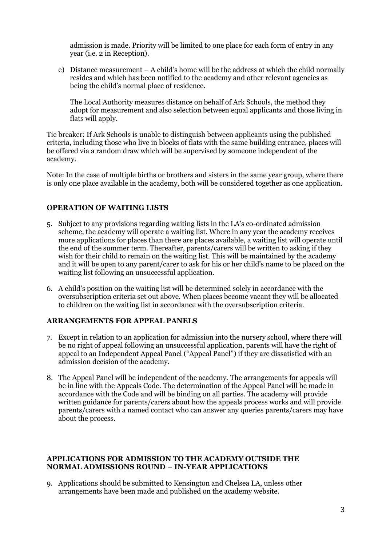admission is made. Priority will be limited to one place for each form of entry in any year (i.e. 2 in Reception).

e) Distance measurement – A child's home will be the address at which the child normally resides and which has been notified to the academy and other relevant agencies as being the child's normal place of residence.

The Local Authority measures distance on behalf of Ark Schools, the method they adopt for measurement and also selection between equal applicants and those living in flats will apply.

Tie breaker: If Ark Schools is unable to distinguish between applicants using the published criteria, including those who live in blocks of flats with the same building entrance, places will be offered via a random draw which will be supervised by someone independent of the academy.

Note: In the case of multiple births or brothers and sisters in the same year group, where there is only one place available in the academy, both will be considered together as one application.

# **OPERATION OF WAITING LISTS**

- 5. Subject to any provisions regarding waiting lists in the LA's co-ordinated admission scheme, the academy will operate a waiting list. Where in any year the academy receives more applications for places than there are places available, a waiting list will operate until the end of the summer term. Thereafter, parents/carers will be written to asking if they wish for their child to remain on the waiting list. This will be maintained by the academy and it will be open to any parent/carer to ask for his or her child's name to be placed on the waiting list following an unsuccessful application.
- 6. A child's position on the waiting list will be determined solely in accordance with the oversubscription criteria set out above. When places become vacant they will be allocated to children on the waiting list in accordance with the oversubscription criteria.

#### **ARRANGEMENTS FOR APPEAL PANELS**

- 7. Except in relation to an application for admission into the nursery school, where there will be no right of appeal following an unsuccessful application, parents will have the right of appeal to an Independent Appeal Panel ("Appeal Panel") if they are dissatisfied with an admission decision of the academy.
- 8. The Appeal Panel will be independent of the academy. The arrangements for appeals will be in line with the Appeals Code. The determination of the Appeal Panel will be made in accordance with the Code and will be binding on all parties. The academy will provide written guidance for parents/carers about how the appeals process works and will provide parents/carers with a named contact who can answer any queries parents/carers may have about the process.

#### **APPLICATIONS FOR ADMISSION TO THE ACADEMY OUTSIDE THE NORMAL ADMISSIONS ROUND – IN-YEAR APPLICATIONS**

9. Applications should be submitted to Kensington and Chelsea LA, unless other arrangements have been made and published on the academy website.